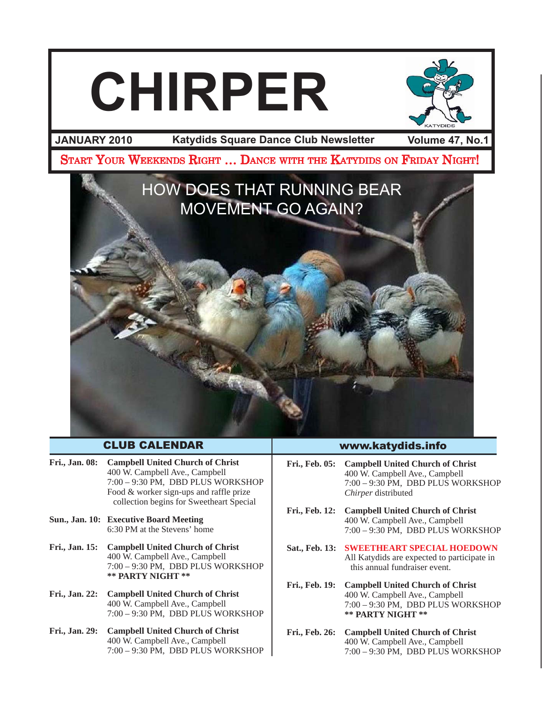# **CHIRPER**



**JANUARY 2010 Volume 47, No.1 Katydids Square Dance Club Newsletter**

START YOUR WEEKENDS RIGHT ... DANCE WITH THE KATYDIDS ON FRIDAY NIGHT!



# CLUB CALENDAR

- **Fri., Jan. 08: Campbell United Church of Christ** 400 W. Campbell Ave., Campbell 7:00 – 9:30 PM, DBD PLUS WORKSHOP Food & worker sign-ups and raffle prize collection begins for Sweetheart Special
- **Sun., Jan. 10: Executive Board Meeting** 6:30 PM at the Stevens' home
- **Fri., Jan. 15: Campbell United Church of Christ** 400 W. Campbell Ave., Campbell 7:00 – 9:30 PM, DBD PLUS WORKSHOP **\*\* PARTY NIGHT \*\***
- **Fri., Jan. 22: Campbell United Church of Christ** 400 W. Campbell Ave., Campbell 7:00 – 9:30 PM, DBD PLUS WORKSHOP
- **Fri., Jan. 29: Campbell United Church of Christ** 400 W. Campbell Ave., Campbell 7:00 – 9:30 PM, DBD PLUS WORKSHOP

# www.katydids.info

- **Fri., Feb. 05: Campbell United Church of Christ** 400 W. Campbell Ave., Campbell 7:00 – 9:30 PM, DBD PLUS WORKSHOP *Chirper* distributed
- **Fri., Feb. 12: Campbell United Church of Christ** 400 W. Campbell Ave., Campbell 7:00 – 9:30 PM, DBD PLUS WORKSHOP
- **Sat., Feb. 13: SWEETHEART SPECIAL HOEDOWN** All Katydids are expected to participate in this annual fundraiser event.
- **Fri., Feb. 19: Campbell United Church of Christ** 400 W. Campbell Ave., Campbell 7:00 – 9:30 PM, DBD PLUS WORKSHOP **\*\* PARTY NIGHT \*\***
- **Fri., Feb. 26: Campbell United Church of Christ** 400 W. Campbell Ave., Campbell 7:00 – 9:30 PM, DBD PLUS WORKSHOP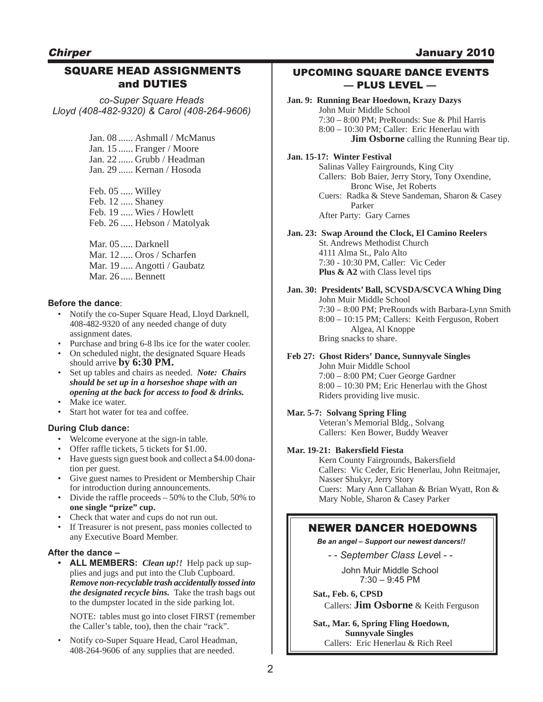# **Chirper**

# January 2010

# SQUARE HEAD ASSIGNMENTS and DUTIES

*co-Super Square Heads Lloyd (408-482-9320) & Carol (408-264-9606)*

> Jan. 08 ...... Ashmall / McManus Jan. 15 ...... Franger / Moore Jan. 22 ...... Grubb / Headman Jan. 29 ...... Kernan / Hosoda

Feb. 05 ..... Willey Feb. 12 ..... Shaney Feb. 19 ..... Wies / Howlett Feb. 26 ..... Hebson / Matolyak

Mar. 05 ..... Darknell Mar. 12 ..... Oros / Scharfen Mar. 19 ..... Angotti / Gaubatz Mar. 26 ..... Bennett

#### **Before the dance**:

- Notify the co-Super Square Head, Lloyd Darknell, 408-482-9320 of any needed change of duty assignment dates.
- Purchase and bring 6-8 lbs ice for the water cooler.
- On scheduled night, the designated Square Heads should arrive **by 6:30 PM.**
- Set up tables and chairs as needed. *Note: Chairs should be set up in a horseshoe shape with an opening at the back for access to food & drinks.*
- Make ice water.
- Start hot water for tea and coffee.

#### **During Club dance:**

- Welcome everyone at the sign-in table.
- Offer raffle tickets, 5 tickets for \$1.00.
- Have guests sign guest book and collect a \$4.00 donation per guest.
- Give guest names to President or Membership Chair for introduction during announcements.
- Divide the raffle proceeds  $-50\%$  to the Club, 50% to **one single "prize" cup.**
- Check that water and cups do not run out.
- If Treasurer is not present, pass monies collected to any Executive Board Member.

#### **After the dance –**

**• ALL MEMBERS:** *Clean up!!* Help pack up supplies and jugs and put into the Club Cupboard. *Remove non-recyclable trash accidentally tossed into the designated recycle bins.* Take the trash bags out to the dumpster located in the side parking lot.

NOTE: tables must go into closet FIRST (remember the Caller's table, too), then the chair "rack".

• Notify co-Super Square Head, Carol Headman, 408-264-9606 of any supplies that are needed.

## UPCOMING SQUARE DANCE EVENTS –– PLUS LEVEL ––

**Jan. 9: Running Bear Hoedown, Krazy Dazys** John Muir Middle School 7:30 – 8:00 PM; PreRounds: Sue & Phil Harris 8:00 – 10:30 PM; Caller: Eric Henerlau with **Jim Osborne** calling the Running Bear tip. **Jan. 15-17: Winter Festival** Salinas Valley Fairgrounds, King City Callers: Bob Baier, Jerry Story, Tony Oxendine, Bronc Wise, Jet Roberts Cuers: Radka & Steve Sandeman, Sharon & Casey Parker

After Party: Gary Carnes

### **Jan. 23: Swap Around the Clock, El Camino Reelers**

St. Andrews Methodist Church 4111 Alma St., Palo Alto 7:30 - 10:30 PM, Caller: Vic Ceder **Plus & A2** with Class level tips

## **Jan. 30: Presidents' Ball, SCVSDA/SCVCA Whing Ding**

John Muir Middle School 7:30 – 8:00 PM; PreRounds with Barbara-Lynn Smith 8:00 – 10:15 PM; Callers: Keith Ferguson, Robert Algea, Al Knoppe Bring snacks to share.

#### **Feb 27: Ghost Riders' Dance, Sunnyvale Singles** John Muir Middle School

7:00 – 8:00 PM; Cuer George Gardner 8:00 – 10:30 PM; Eric Henerlau with the Ghost Riders providing live music.

# **Mar. 5-7: Solvang Spring Fling**

Veteran's Memorial Bldg., Solvang Callers: Ken Bower, Buddy Weaver

#### **Mar. 19-21: Bakersfield Fiesta**

Kern County Fairgrounds, Bakersfield Callers: Vic Ceder, Eric Henerlau, John Reitmajer, Nasser Shukyr, Jerry Story Cuers: Mary Ann Callahan & Brian Wyatt, Ron & Mary Noble, Sharon & Casey Parker

# NEWER DANCER HOEDOWNS

*Be an angel – Support our newest dancers!!*

- - *September Class Leve*l - -

John Muir Middle School 7:30 – 9:45 PM

**Sat., Feb. 6, CPSD** Callers: **Jim Osborne** & Keith Ferguson

**Sat., Mar. 6, Spring Fling Hoedown, Sunnyvale Singles** Callers: Eric Henerlau & Rich Reel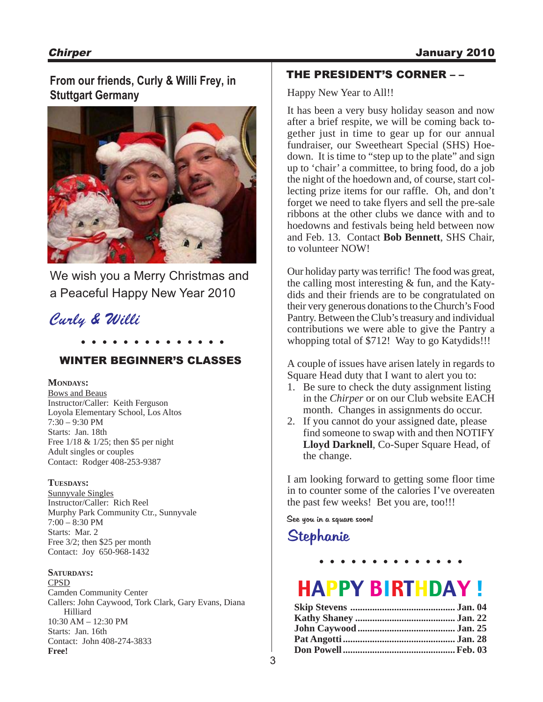# **From our friends, Curly & Willi Frey, in Stuttgart Germany**



We wish you a Merry Christmas and a Peaceful Happy New Year 2010

# **. . . . . . . . . . . . . .** Curly & Willi

WINTER BEGINNER'S CLASSES

## **MONDAYS:**

Bows and Beaus Instructor/Caller: Keith Ferguson Loyola Elementary School, Los Altos 7:30 – 9:30 PM Starts: Jan. 18th Free 1/18 & 1/25; then \$5 per night Adult singles or couples Contact: Rodger 408-253-9387

#### **TUESDAYS:**

Sunnyvale Singles Instructor/Caller: Rich Reel Murphy Park Community Ctr., Sunnyvale 7:00 – 8:30 PM Starts: Mar. 2 Free 3/2; then \$25 per month Contact: Joy 650-968-1432

#### **SATURDAYS:**

CPSD Camden Community Center Callers: John Caywood, Tork Clark, Gary Evans, Diana Hilliard 10:30 AM – 12:30 PM Starts: Jan. 16th Contact: John 408-274-3833 **Free!**

# THE PRESIDENT'S CORNER – –

Happy New Year to All!!

It has been a very busy holiday season and now after a brief respite, we will be coming back together just in time to gear up for our annual fundraiser, our Sweetheart Special (SHS) Hoedown. It is time to "step up to the plate" and sign up to 'chair' a committee, to bring food, do a job the night of the hoedown and, of course, start collecting prize items for our raffle. Oh, and don't forget we need to take flyers and sell the pre-sale ribbons at the other clubs we dance with and to hoedowns and festivals being held between now and Feb. 13. Contact **Bob Bennett**, SHS Chair, to volunteer NOW!

Our holiday party was terrific! The food was great, the calling most interesting & fun, and the Katydids and their friends are to be congratulated on their very generous donations to the Church's Food Pantry. Between the Club's treasury and individual contributions we were able to give the Pantry a whopping total of \$712! Way to go Katydids!!!

A couple of issues have arisen lately in regards to Square Head duty that I want to alert you to:

- 1. Be sure to check the duty assignment listing in the *Chirper* or on our Club website EACH month. Changes in assignments do occur.
- 2. If you cannot do your assigned date, please find someone to swap with and then NOTIFY **Lloyd Darknell**, Co-Super Square Head, of the change.

I am looking forward to getting some floor time in to counter some of the calories I've overeaten the past few weeks! Bet you are, too!!!

See you in a square soon!

# Stephanie

# HAPPY BIRTHDAY !

**. . . . . . . . . . . . . .**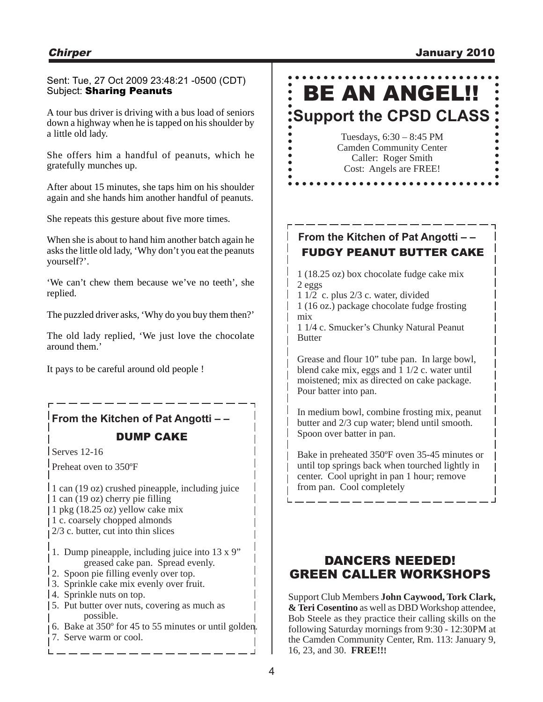# Sent: Tue, 27 Oct 2009 23:48:21 -0500 (CDT) Subject: Sharing Peanuts

A tour bus driver is driving with a bus load of seniors down a highway when he is tapped on his shoulder by a little old lady.

She offers him a handful of peanuts, which he gratefully munches up.

After about 15 minutes, she taps him on his shoulder again and she hands him another handful of peanuts.

She repeats this gesture about five more times.

When she is about to hand him another batch again he asks the little old lady, 'Why don't you eat the peanuts yourself?'.

'We can't chew them because we've no teeth', she replied.

The puzzled driver asks, 'Why do you buy them then?'

The old lady replied, 'We just love the chocolate around them.'

It pays to be careful around old people !

# **From the Kitchen of Pat Angotti – –**

# DUMP CAKE

Serves 12-16

Preheat oven to 350ºF

1 can (19 oz) crushed pineapple, including juice 1 can (19 oz) cherry pie filling 1 pkg (18.25 oz) yellow cake mix 1 c. coarsely chopped almonds 2/3 c. butter, cut into thin slices

- 1. Dump pineapple, including juice into 13 x 9" greased cake pan. Spread evenly.
- 2. Spoon pie filling evenly over top.
- 3. Sprinkle cake mix evenly over fruit.
- 4. Sprinkle nuts on top.
- 5. Put butter over nuts, covering as much as possible.
- 6. Bake at 350º for 45 to 55 minutes or until golden.
- 7. Serve warm or cool.

# BE AN ANGEL!! **Support the CPSD CLASS**

# Tuesdays, 6:30 – 8:45 PM Camden Community Center Caller: Roger Smith Cost: Angels are FREE!

 $\bullet$  $\bullet$ 

# **From the Kitchen of Pat Angotti – –** FUDGY PEANUT BUTTER CAKE

1 (18.25 oz) box chocolate fudge cake mix 2 eggs

1 1/2 c. plus 2/3 c. water, divided

1 (16 oz.) package chocolate fudge frosting mix

1 1/4 c. Smucker's Chunky Natural Peanut **Butter** 

Grease and flour 10" tube pan. In large bowl, blend cake mix, eggs and 1 1/2 c. water until moistened; mix as directed on cake package. Pour batter into pan.

In medium bowl, combine frosting mix, peanut butter and 2/3 cup water; blend until smooth. Spoon over batter in pan.

Bake in preheated 350ºF oven 35-45 minutes or until top springs back when tourched lightly in center. Cool upright in pan 1 hour; remove from pan. Cool completely

# DANCERS NEEDED! GREEN CALLER WORKSHOPS

Support Club Members **John Caywood, Tork Clark, & Teri Cosentino** as well as DBD Workshop attendee, Bob Steele as they practice their calling skills on the following Saturday mornings from 9:30 - 12:30PM at the Camden Community Center, Rm. 113: January 9, 16, 23, and 30. **FREE!!!**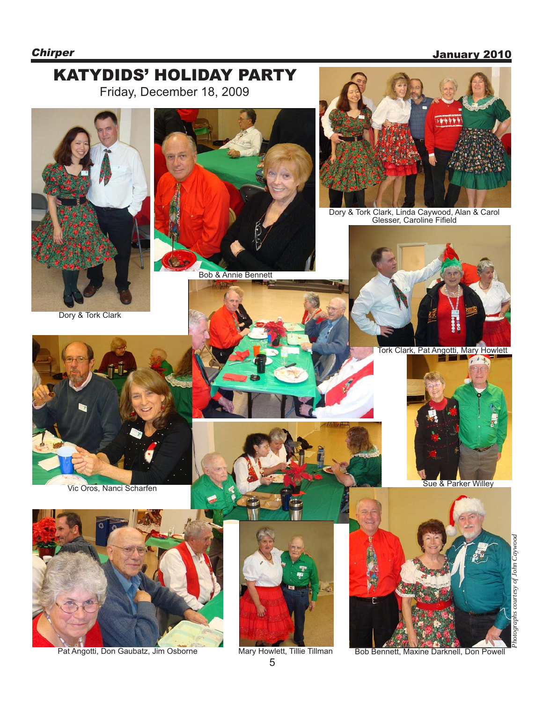# **Chirper** January 2010



5

Pat Angotti, Don Gaubatz, Jim Osborne Mary Howlett, Tillie Tillman Bob Bennett, Maxine Darknell, Don Powell